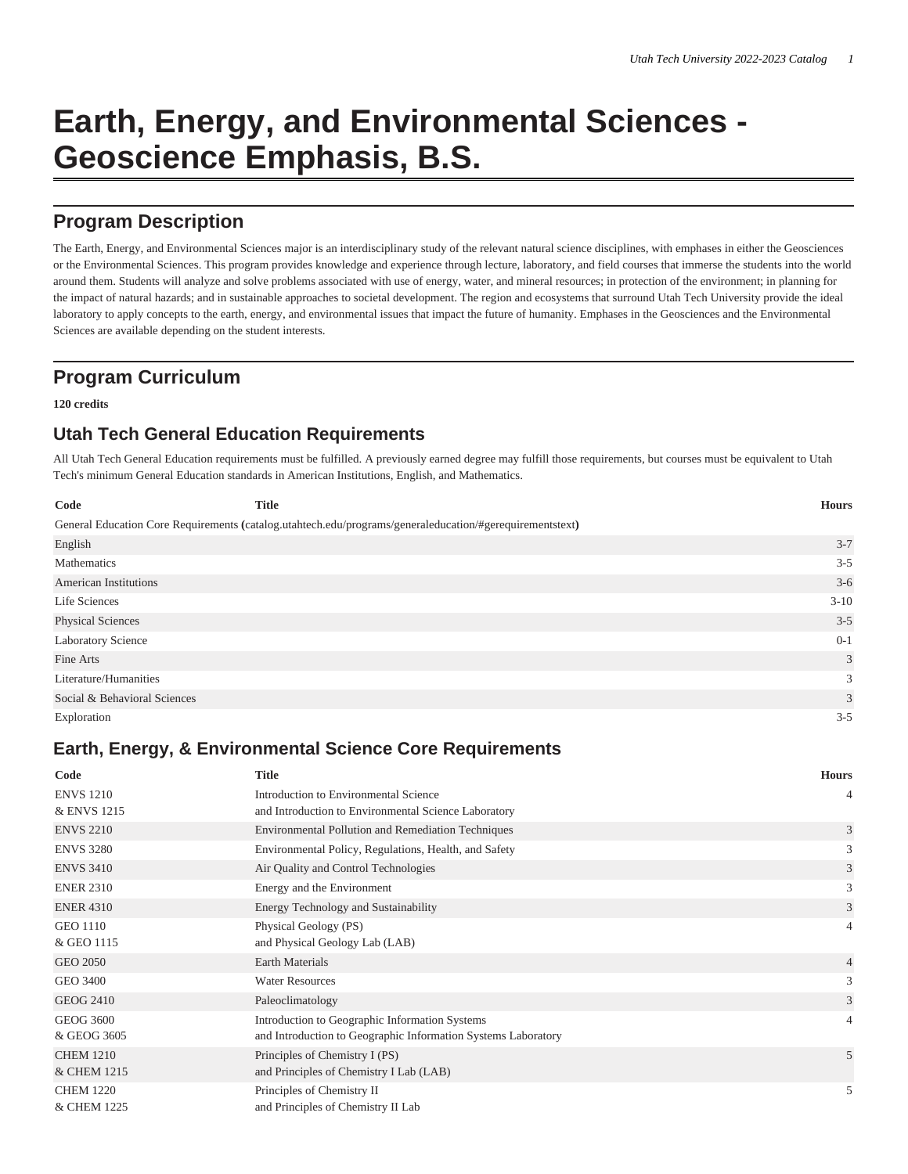# **Earth, Energy, and Environmental Sciences - Geoscience Emphasis, B.S.**

# **Program Description**

The Earth, Energy, and Environmental Sciences major is an interdisciplinary study of the relevant natural science disciplines, with emphases in either the Geosciences or the Environmental Sciences. This program provides knowledge and experience through lecture, laboratory, and field courses that immerse the students into the world around them. Students will analyze and solve problems associated with use of energy, water, and mineral resources; in protection of the environment; in planning for the impact of natural hazards; and in sustainable approaches to societal development. The region and ecosystems that surround Utah Tech University provide the ideal laboratory to apply concepts to the earth, energy, and environmental issues that impact the future of humanity. Emphases in the Geosciences and the Environmental Sciences are available depending on the student interests.

# **Program Curriculum**

#### **120 credits**

## **Utah Tech General Education Requirements**

All Utah Tech General Education requirements must be fulfilled. A previously earned degree may fulfill those requirements, but courses must be equivalent to Utah Tech's minimum General Education standards in American Institutions, English, and Mathematics.

| Code                         | <b>Title</b>                                                                                             | <b>Hours</b>   |
|------------------------------|----------------------------------------------------------------------------------------------------------|----------------|
|                              | General Education Core Requirements (catalog.utahtech.edu/programs/generaleducation/#gerequirementstext) |                |
| English                      |                                                                                                          | $3 - 7$        |
| Mathematics                  |                                                                                                          | $3 - 5$        |
| <b>American Institutions</b> |                                                                                                          | $3-6$          |
| Life Sciences                |                                                                                                          | $3 - 10$       |
| <b>Physical Sciences</b>     |                                                                                                          | $3 - 5$        |
| Laboratory Science           |                                                                                                          | $0 - 1$        |
| Fine Arts                    |                                                                                                          | $\mathfrak{Z}$ |
| Literature/Humanities        |                                                                                                          | 3              |
| Social & Behavioral Sciences |                                                                                                          | 3              |
| Exploration                  |                                                                                                          | $3 - 5$        |

## **Earth, Energy, & Environmental Science Core Requirements**

| Code             | <b>Title</b>                                                  | <b>Hours</b>   |
|------------------|---------------------------------------------------------------|----------------|
| <b>ENVS</b> 1210 | Introduction to Environmental Science                         | 4              |
| & ENVS 1215      | and Introduction to Environmental Science Laboratory          |                |
| <b>ENVS 2210</b> | <b>Environmental Pollution and Remediation Techniques</b>     | 3              |
| <b>ENVS 3280</b> | Environmental Policy, Regulations, Health, and Safety         | 3              |
| <b>ENVS 3410</b> | Air Quality and Control Technologies                          | 3              |
| <b>ENER 2310</b> | Energy and the Environment                                    | 3              |
| <b>ENER 4310</b> | Energy Technology and Sustainability                          | 3              |
| <b>GEO 1110</b>  | Physical Geology (PS)                                         | $\overline{4}$ |
| & GEO 1115       | and Physical Geology Lab (LAB)                                |                |
| GEO 2050         | <b>Earth Materials</b>                                        | $\overline{4}$ |
| GEO 3400         | <b>Water Resources</b>                                        | 3              |
| <b>GEOG 2410</b> | Paleoclimatology                                              | 3              |
| <b>GEOG 3600</b> | Introduction to Geographic Information Systems                | $\overline{4}$ |
| & GEOG 3605      | and Introduction to Geographic Information Systems Laboratory |                |
| <b>CHEM 1210</b> | Principles of Chemistry I (PS)                                | 5              |
| & CHEM 1215      | and Principles of Chemistry I Lab (LAB)                       |                |
| <b>CHEM 1220</b> | Principles of Chemistry II                                    | 5              |
| & CHEM 1225      | and Principles of Chemistry II Lab                            |                |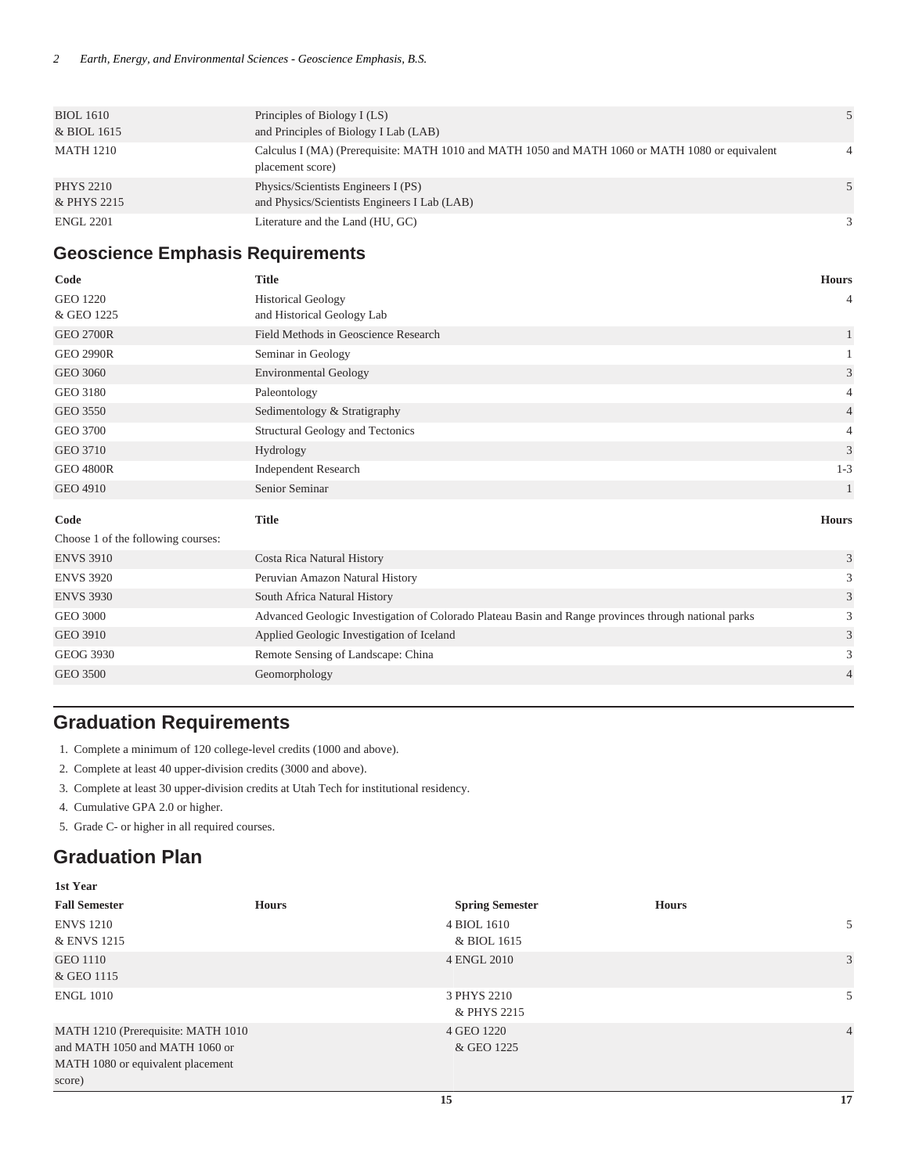| <b>BIOL 1610</b> | Principles of Biology I (LS)                                                                                        |   |
|------------------|---------------------------------------------------------------------------------------------------------------------|---|
| & BIOL 1615      | and Principles of Biology I Lab (LAB)                                                                               |   |
| <b>MATH 1210</b> | Calculus I (MA) (Prerequisite: MATH 1010 and MATH 1050 and MATH 1060 or MATH 1080 or equivalent<br>placement score) |   |
| <b>PHYS 2210</b> | Physics/Scientists Engineers I (PS)                                                                                 |   |
| & PHYS 2215      | and Physics/Scientists Engineers I Lab (LAB)                                                                        |   |
| <b>ENGL 2201</b> | Literature and the Land (HU, GC)                                                                                    | 3 |

#### **Geoscience Emphasis Requirements**

| Code                               | <b>Title</b>                                                                                         | <b>Hours</b>                |
|------------------------------------|------------------------------------------------------------------------------------------------------|-----------------------------|
| <b>GEO 1220</b>                    | <b>Historical Geology</b>                                                                            | 4                           |
| & GEO 1225                         | and Historical Geology Lab                                                                           |                             |
| <b>GEO 2700R</b>                   | Field Methods in Geoscience Research                                                                 |                             |
| <b>GEO 2990R</b>                   | Seminar in Geology                                                                                   |                             |
| GEO 3060                           | <b>Environmental Geology</b>                                                                         | 3                           |
| <b>GEO 3180</b>                    | Paleontology                                                                                         | 4                           |
| GEO 3550                           | Sedimentology & Stratigraphy                                                                         | 4                           |
| GEO 3700                           | Structural Geology and Tectonics                                                                     | 4                           |
| <b>GEO 3710</b>                    | Hydrology                                                                                            | 3                           |
| <b>GEO 4800R</b>                   | <b>Independent Research</b>                                                                          | $1 - 3$                     |
| <b>GEO 4910</b>                    | Senior Seminar                                                                                       |                             |
| Code                               | <b>Title</b>                                                                                         | <b>Hours</b>                |
| Choose 1 of the following courses: |                                                                                                      |                             |
| <b>ENVS 3910</b>                   | Costa Rica Natural History                                                                           | $\ensuremath{\mathfrak{Z}}$ |
| <b>ENVS 3920</b>                   | Peruvian Amazon Natural History                                                                      | 3                           |
| <b>ENVS 3930</b>                   | South Africa Natural History                                                                         | 3                           |
| <b>GEO 3000</b>                    | Advanced Geologic Investigation of Colorado Plateau Basin and Range provinces through national parks | 3                           |
| <b>GEO 3910</b>                    | Applied Geologic Investigation of Iceland                                                            | 3                           |
| GEOG 3930                          | Remote Sensing of Landscape: China                                                                   | 3                           |
| <b>GEO 3500</b>                    | Geomorphology                                                                                        | 4                           |

# **Graduation Requirements**

- 1. Complete a minimum of 120 college-level credits (1000 and above).
- 2. Complete at least 40 upper-division credits (3000 and above).
- 3. Complete at least 30 upper-division credits at Utah Tech for institutional residency.
- 4. Cumulative GPA 2.0 or higher.
- 5. Grade C- or higher in all required courses.

## **Graduation Plan**

| 1st Year                                                                                                            |              |                            |              |                |
|---------------------------------------------------------------------------------------------------------------------|--------------|----------------------------|--------------|----------------|
| <b>Fall Semester</b>                                                                                                | <b>Hours</b> | <b>Spring Semester</b>     | <b>Hours</b> |                |
| <b>ENVS</b> 1210<br>& ENVS 1215                                                                                     |              | 4 BIOL 1610<br>& BIOL 1615 |              | 5              |
| <b>GEO 1110</b><br>& GEO 1115                                                                                       |              | 4 ENGL 2010                |              | 3              |
| <b>ENGL 1010</b>                                                                                                    |              | 3 PHYS 2210<br>& PHYS 2215 |              | 5              |
| MATH 1210 (Prerequisite: MATH 1010<br>and MATH 1050 and MATH 1060 or<br>MATH 1080 or equivalent placement<br>score) |              | 4 GEO 1220<br>& GEO 1225   |              | $\overline{4}$ |